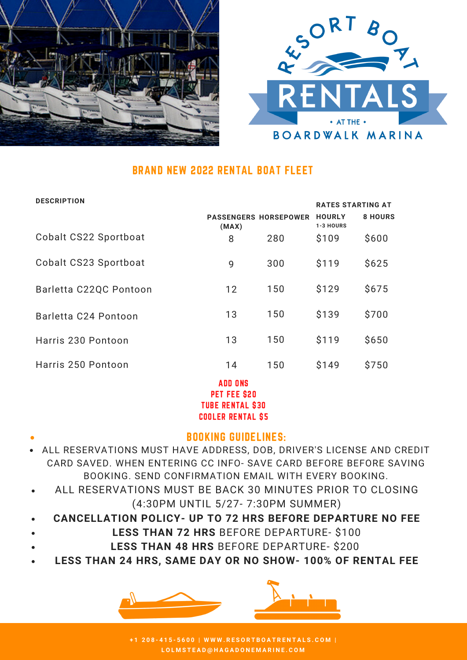



### BRAND NEW 2022 RENTAL BOAT FLEET

| יוטוו ווטשבע           |                                       |     | <b>RATES STARTING AT</b>   |                |
|------------------------|---------------------------------------|-----|----------------------------|----------------|
|                        | <b>PASSENGERS HORSEPOWER</b><br>(MAX) |     | <b>HOURLY</b><br>1-3 HOURS | <b>8 HOURS</b> |
| Cobalt CS22 Sportboat  | 8                                     | 280 | \$109                      | \$600          |
| Cobalt CS23 Sportboat  | 9                                     | 300 | \$119                      | \$625          |
| Barletta C22QC Pontoon | 12                                    | 150 | \$129                      | \$675          |
| Barletta C24 Pontoon   | 13                                    | 150 | \$139                      | \$700          |
| Harris 230 Pontoon     | 13                                    | 150 | \$119                      | \$650          |
| Harris 250 Pontoon     | 14                                    | 150 | \$149                      | \$750          |
|                        | <b>ADD ONS</b><br>PET FEE \$20        |     |                            |                |

TUBE RENTAL \$30 COOLER RENTAL \$5

#### BOOKING GUIDELINES:

- ALL RESERVATIONS MUST HAVE ADDRESS, DOB, DRIVER'S LICENSE AND CREDIT CARD SAVED. WHEN ENTERING CC INFO- SAVE CARD BEFORE BEFORE SAVING BOOKING. SEND CONFIRMATION EMAIL WITH EVERY BOOKING.
- ALL RESERVATIONS MUST BE BACK 30 MINUTES PRIOR TO CLOSING (4:30PM UNTIL 5/27- 7:30PM SUMMER)
- **CANCELLATION POLICY- UP TO 72 HRS BEFORE DEPARTURE NO FEE**
- **LESS THAN 72 HRS** BEFORE DEPARTURE- \$100
	- **LESS THAN 48 HRS** BEFORE DEPARTURE- \$200
- **LESS THAN 24 HRS, SAME DAY OR NO SHOW- 100% OF RENTAL FEE**